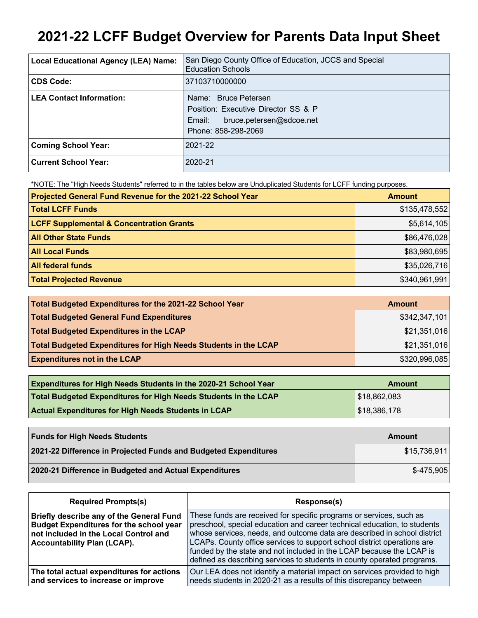# **2021-22 LCFF Budget Overview for Parents Data Input Sheet**

| <b>Local Educational Agency (LEA) Name:</b> | San Diego County Office of Education, JCCS and Special<br><b>Education Schools</b>                                       |
|---------------------------------------------|--------------------------------------------------------------------------------------------------------------------------|
| CDS Code:                                   | 37103710000000                                                                                                           |
| <b>LEA Contact Information:</b>             | Name: Bruce Petersen<br>Position: Executive Director SS & P<br>bruce.petersen@sdcoe.net<br>Email:<br>Phone: 858-298-2069 |
| <b>Coming School Year:</b>                  | 2021-22                                                                                                                  |
| Current School Year:                        | 2020-21                                                                                                                  |

\*NOTE: The "High Needs Students" referred to in the tables below are Unduplicated Students for LCFF funding purposes.

| Projected General Fund Revenue for the 2021-22 School Year | <b>Amount</b> |
|------------------------------------------------------------|---------------|
| <b>Total LCFF Funds</b>                                    | \$135,478,552 |
| <b>LCFF Supplemental &amp; Concentration Grants</b>        | \$5,614,105   |
| <b>All Other State Funds</b>                               | \$86,476,028  |
| <b>All Local Funds</b>                                     | \$83,980,695  |
| <b>All federal funds</b>                                   | \$35,026,716  |
| <b>Total Projected Revenue</b>                             | \$340,961,991 |

| Total Budgeted Expenditures for the 2021-22 School Year         | <b>Amount</b> |
|-----------------------------------------------------------------|---------------|
| <b>Total Budgeted General Fund Expenditures</b>                 | \$342,347,101 |
| <b>Total Budgeted Expenditures in the LCAP</b>                  | \$21,351,016  |
| Total Budgeted Expenditures for High Needs Students in the LCAP | \$21,351,016  |
| <b>Expenditures not in the LCAP</b>                             | \$320,996,085 |

| <b>Expenditures for High Needs Students in the 2020-21 School Year</b> | <b>Amount</b> |
|------------------------------------------------------------------------|---------------|
| Total Budgeted Expenditures for High Needs Students in the LCAP        | \$18,862,083  |
| <b>Actual Expenditures for High Needs Students in LCAP</b>             | \$18,386,178  |

| <b>Funds for High Needs Students</b>                            | Amount       |
|-----------------------------------------------------------------|--------------|
| 2021-22 Difference in Projected Funds and Budgeted Expenditures | \$15,736,911 |
| 2020-21 Difference in Budgeted and Actual Expenditures          | $$-475.905$  |

| <b>Required Prompts(s)</b>                                                                                                                                                       | Response(s)                                                                                                                                                                                                                                                                                                                                                                                                                                               |
|----------------------------------------------------------------------------------------------------------------------------------------------------------------------------------|-----------------------------------------------------------------------------------------------------------------------------------------------------------------------------------------------------------------------------------------------------------------------------------------------------------------------------------------------------------------------------------------------------------------------------------------------------------|
| <b>Briefly describe any of the General Fund</b><br><b>Budget Expenditures for the school year</b><br>not included in the Local Control and<br><b>Accountability Plan (LCAP).</b> | These funds are received for specific programs or services, such as<br>preschool, special education and career technical education, to students<br>whose services, needs, and outcome data are described in school district<br>LCAPs. County office services to support school district operations are<br>funded by the state and not included in the LCAP because the LCAP is<br>defined as describing services to students in county operated programs. |
| The total actual expenditures for actions<br>and services to increase or improve                                                                                                 | Our LEA does not identify a material impact on services provided to high<br>needs students in 2020-21 as a results of this discrepancy between                                                                                                                                                                                                                                                                                                            |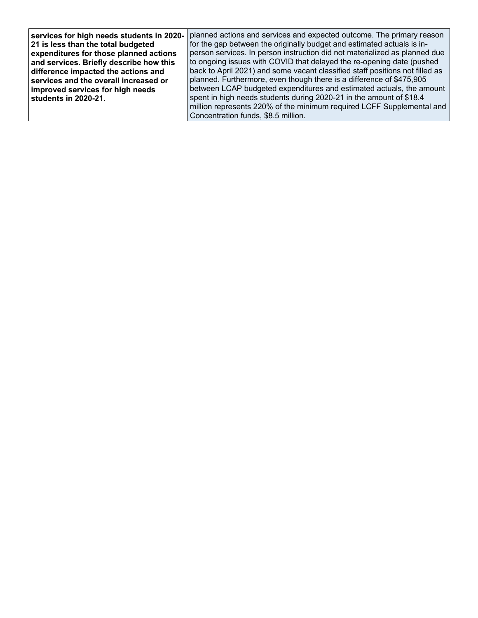| services for high needs students in 2020- | planned actions and services and expected outcome. The primary reason        |
|-------------------------------------------|------------------------------------------------------------------------------|
| 21 is less than the total budgeted        | for the gap between the originally budget and estimated actuals is in-       |
| expenditures for those planned actions    | person services. In person instruction did not materialized as planned due   |
| and services. Briefly describe how this   | to ongoing issues with COVID that delayed the re-opening date (pushed        |
| difference impacted the actions and       | back to April 2021) and some vacant classified staff positions not filled as |
| services and the overall increased or     | planned. Furthermore, even though there is a difference of \$475,905         |
| improved services for high needs          | between LCAP budgeted expenditures and estimated actuals, the amount         |
| students in 2020-21.                      | spent in high needs students during 2020-21 in the amount of \$18.4          |
|                                           | million represents 220% of the minimum required LCFF Supplemental and        |
|                                           | Concentration funds, \$8.5 million.                                          |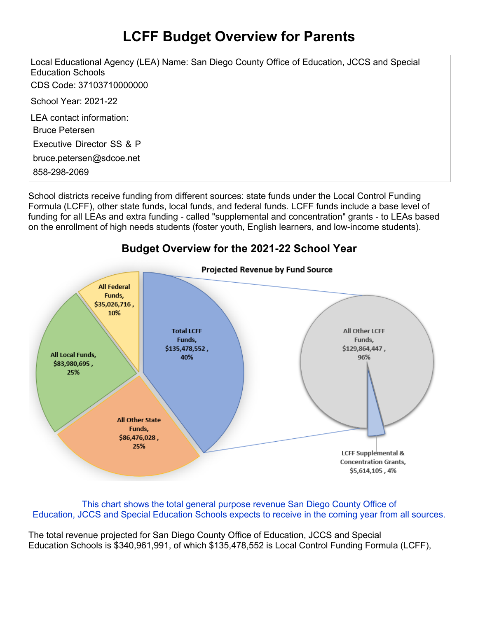## **LCFF Budget Overview for Parents**

Local Educational Agency (LEA) Name: San Diego County Office of Education, JCCS and Special Education Schools CDS Code: 37103710000000 School Year: 2021-22 LEA contact information: Bruce Petersen Executive Director SS & P bruce.petersen@sdcoe.net 858-298-2069

School districts receive funding from different sources: state funds under the Local Control Funding Formula (LCFF), other state funds, local funds, and federal funds. LCFF funds include a base level of funding for all LEAs and extra funding - called "supplemental and concentration" grants - to LEAs based on the enrollment of high needs students (foster youth, English learners, and low-income students).

#### **Budget Overview for the 2021-22 School Year**



This chart shows the total general purpose revenue San Diego County Office of Education, JCCS and Special Education Schools expects to receive in the coming year from all sources.

The total revenue projected for San Diego County Office of Education, JCCS and Special Education Schools is \$340,961,991, of which \$135,478,552 is Local Control Funding Formula (LCFF),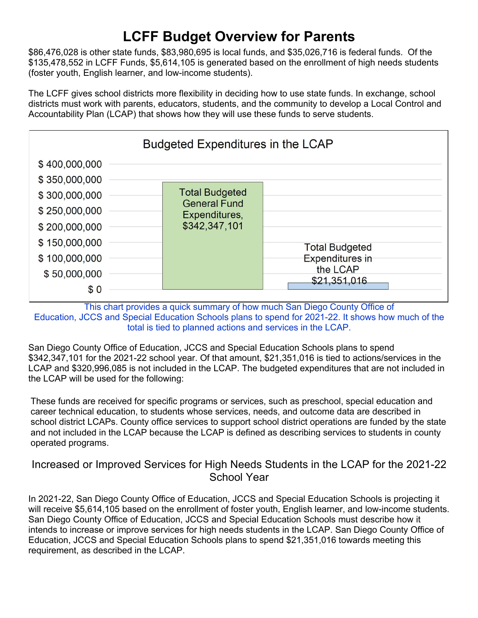## **LCFF Budget Overview for Parents**

\$86,476,028 is other state funds, \$83,980,695 is local funds, and \$35,026,716 is federal funds. Of the \$135,478,552 in LCFF Funds, \$5,614,105 is generated based on the enrollment of high needs students (foster youth, English learner, and low-income students).

The LCFF gives school districts more flexibility in deciding how to use state funds. In exchange, school districts must work with parents, educators, students, and the community to develop a Local Control and Accountability Plan (LCAP) that shows how they will use these funds to serve students.



This chart provides a quick summary of how much San Diego County Office of Education, JCCS and Special Education Schools plans to spend for 2021-22. It shows how much of the total is tied to planned actions and services in the LCAP.

San Diego County Office of Education, JCCS and Special Education Schools plans to spend \$342,347,101 for the 2021-22 school year. Of that amount, \$21,351,016 is tied to actions/services in the LCAP and \$320,996,085 is not included in the LCAP. The budgeted expenditures that are not included in the LCAP will be used for the following:

These funds are received for specific programs or services, such as preschool, special education and career technical education, to students whose services, needs, and outcome data are described in school district LCAPs. County office services to support school district operations are funded by the state and not included in the LCAP because the LCAP is defined as describing services to students in county operated programs.

#### Increased or Improved Services for High Needs Students in the LCAP for the 2021-22 School Year

In 2021-22, San Diego County Office of Education, JCCS and Special Education Schools is projecting it will receive \$5,614,105 based on the enrollment of foster youth, English learner, and low-income students. San Diego County Office of Education, JCCS and Special Education Schools must describe how it intends to increase or improve services for high needs students in the LCAP. San Diego County Office of Education, JCCS and Special Education Schools plans to spend \$21,351,016 towards meeting this requirement, as described in the LCAP.